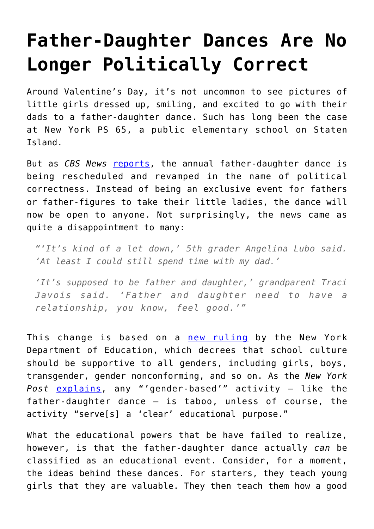## **[Father-Daughter Dances Are No](https://intellectualtakeout.org/2018/02/father-daughter-dances-are-no-longer-politically-correct/) [Longer Politically Correct](https://intellectualtakeout.org/2018/02/father-daughter-dances-are-no-longer-politically-correct/)**

Around Valentine's Day, it's not uncommon to see pictures of little girls dressed up, smiling, and excited to go with their dads to a father-daughter dance. Such has long been the case at New York PS 65, a public elementary school on Staten Island.

But as *CBS News* [reports,](http://newyork.cbslocal.com/2018/02/05/officials-postpone-schools-daddy-daughter-dance-due-to-nycs-gender-neutral-policy/) the annual father-daughter dance is being rescheduled and revamped in the name of political correctness. Instead of being an exclusive event for fathers or father-figures to take their little ladies, the dance will now be open to anyone. Not surprisingly, the news came as quite a disappointment to many:

*"'It's kind of a let down,' 5th grader Angelina Lubo said. 'At least I could still spend time with my dad.'*

*'It's supposed to be father and daughter,' grandparent Traci Javois said. 'Father and daughter need to have a relationship, you know, feel good.'"*

This change is based on a [new ruling](http://schools.nyc.gov/NR/rdonlyres/6AAB4B91-3292-4EB0-86D8-DC0FF7811CC1/0/TransGNCGuidelinesMarch1finaltopost.pdf) by the New York Department of Education, which decrees that school culture should be supportive to all genders, including girls, boys, transgender, gender nonconforming, and so on. As the *New York Post* [explains](https://nypost.com/2018/02/03/pc-culture-killed-our-schools-father-daughter-dance-parents/), any "'gender-based'" activity – like the father-daughter dance – is taboo, unless of course, the activity "serve[s] a 'clear' educational purpose."

What the educational powers that be have failed to realize, however, is that the father-daughter dance actually *can* be classified as an educational event. Consider, for a moment, the ideas behind these dances. For starters, they teach young girls that they are valuable. They then teach them how a good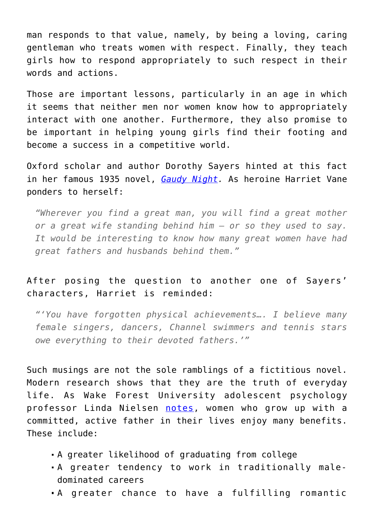man responds to that value, namely, by being a loving, caring gentleman who treats women with respect. Finally, they teach girls how to respond appropriately to such respect in their words and actions.

Those are important lessons, particularly in an age in which it seems that neither men nor women know how to appropriately interact with one another. Furthermore, they also promise to be important in helping young girls find their footing and become a success in a competitive world.

Oxford scholar and author Dorothy Sayers hinted at this fact in her famous 1935 novel, *[Gaudy Night](https://www.amazon.com/gp/product/0062196537/ref=as_li_qf_asin_il_tl?ie=UTF8&tag=intelltakeo0d-20&creative=9325&linkCode=as2&creativeASIN=0062196537&linkId=8639be4af83b16823e0da0b262a60089).* As heroine Harriet Vane ponders to herself:

*"Wherever you find a great man, you will find a great mother or a great wife standing behind him – or so they used to say. It would be interesting to know how many great women have had great fathers and husbands behind them."*

## After posing the question to another one of Sayers' characters, Harriet is reminded:

*"'You have forgotten physical achievements…. I believe many female singers, dancers, Channel swimmers and tennis stars owe everything to their devoted fathers.'"*

Such musings are not the sole ramblings of a fictitious novel. Modern research shows that they are the truth of everyday life. As Wake Forest University adolescent psychology professor Linda Nielsen [notes,](https://ifstudies.org/blog/how-dads-affect-their-daughters-into-adulthood) women who grow up with a committed, active father in their lives enjoy many benefits. These include:

- A greater likelihood of graduating from college
- A greater tendency to work in traditionally maledominated careers
- A greater chance to have a fulfilling romantic